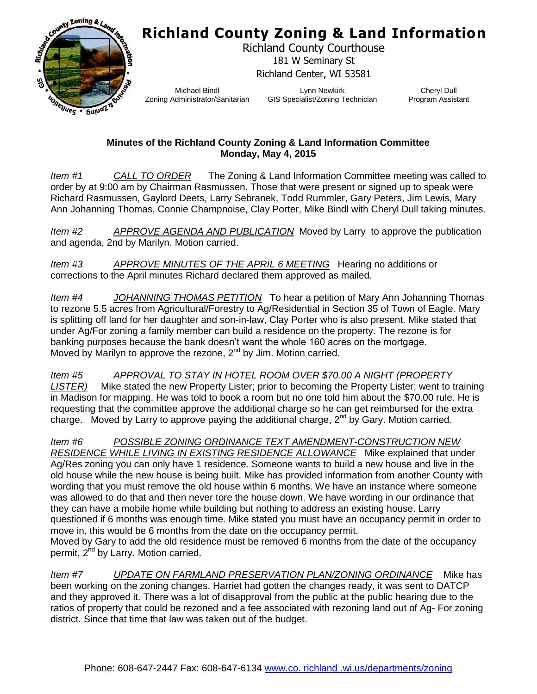## **Richland County Zoning & Land Information**



Richland County Courthouse 181 W Seminary St Richland Center, WI 53581

Michael Bindl Zoning Administrator/Sanitarian

Lynn Newkirk GIS Specialist/Zoning Technician

Cheryl Dull Program Assistant

## **Minutes of the Richland County Zoning & Land Information Committee Monday, May 4, 2015**

*Item #1 CALL TO ORDER* The Zoning & Land Information Committee meeting was called to order by at 9:00 am by Chairman Rasmussen. Those that were present or signed up to speak were Richard Rasmussen, Gaylord Deets, Larry Sebranek, Todd Rummler, Gary Peters, Jim Lewis, Mary Ann Johanning Thomas, Connie Champnoise, Clay Porter, Mike Bindl with Cheryl Dull taking minutes.

*Item #2 APPROVE AGENDA AND PUBLICATION* Moved by Larry to approve the publication and agenda, 2nd by Marilyn. Motion carried.

*Item #3 APPROVE MINUTES OF THE APRIL 6 MEETING* Hearing no additions or corrections to the April minutes Richard declared them approved as mailed.

*Item #4 JOHANNING THOMAS PETITION* To hear a petition of Mary Ann Johanning Thomas to rezone 5.5 acres from Agricultural/Forestry to Ag/Residential in Section 35 of Town of Eagle. Mary is splitting off land for her daughter and son-in-law, Clay Porter who is also present. Mike stated that under Ag/For zoning a family member can build a residence on the property. The rezone is for banking purposes because the bank doesn't want the whole 160 acres on the mortgage. Moved by Marilyn to approve the rezone,  $2^{nd}$  by Jim. Motion carried.

*Item #5 APPROVAL TO STAY IN HOTEL ROOM OVER \$70.00 A NIGHT (PROPERTY LISTER)* Mike stated the new Property Lister; prior to becoming the Property Lister; went to training in Madison for mapping. He was told to book a room but no one told him about the \$70.00 rule. He is requesting that the committee approve the additional charge so he can get reimbursed for the extra charge. Moved by Larry to approve paying the additional charge,  $2^{nd}$  by Gary. Motion carried.

*Item #6 POSSIBLE ZONING ORDINANCE TEXT AMENDMENT-CONSTRUCTION NEW RESIDENCE WHILE LIVING IN EXISTING RESIDENCE ALLOWANCE* Mike explained that under Ag/Res zoning you can only have 1 residence. Someone wants to build a new house and live in the old house while the new house is being built. Mike has provided information from another County with wording that you must remove the old house within 6 months. We have an instance where someone was allowed to do that and then never tore the house down. We have wording in our ordinance that they can have a mobile home while building but nothing to address an existing house. Larry questioned if 6 months was enough time. Mike stated you must have an occupancy permit in order to move in, this would be 6 months from the date on the occupancy permit.

Moved by Gary to add the old residence must be removed 6 months from the date of the occupancy permit, 2<sup>nd</sup> by Larry. Motion carried.

*Item #7 UPDATE ON FARMLAND PRESERVATION PLAN/ZONING ORDINANCE* Mike has been working on the zoning changes. Harriet had gotten the changes ready, it was sent to DATCP and they approved it. There was a lot of disapproval from the public at the public hearing due to the ratios of property that could be rezoned and a fee associated with rezoning land out of Ag- For zoning district. Since that time that law was taken out of the budget.